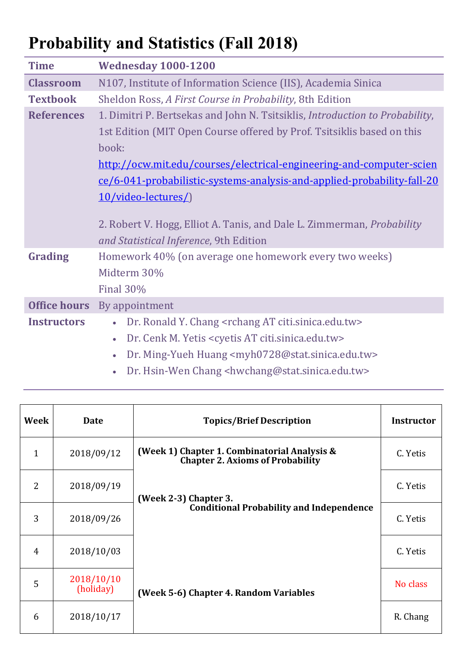## **Probability and Statistics (Fall 2018)**

| <b>Time</b>                                                          | <b>Wednesday 1000-1200</b>                                                                                              |  |  |  |
|----------------------------------------------------------------------|-------------------------------------------------------------------------------------------------------------------------|--|--|--|
| <b>Classroom</b>                                                     | N107, Institute of Information Science (IIS), Academia Sinica                                                           |  |  |  |
| <b>Textbook</b>                                                      | Sheldon Ross, A First Course in Probability, 8th Edition                                                                |  |  |  |
| <b>References</b>                                                    | 1. Dimitri P. Bertsekas and John N. Tsitsiklis, Introduction to Probability,                                            |  |  |  |
|                                                                      | 1st Edition (MIT Open Course offered by Prof. Tsitsiklis based on this                                                  |  |  |  |
|                                                                      | book:                                                                                                                   |  |  |  |
| http://ocw.mit.edu/courses/electrical-engineering-and-computer-scien |                                                                                                                         |  |  |  |
|                                                                      | ce/6-041-probabilistic-systems-analysis-and-applied-probability-fall-20                                                 |  |  |  |
|                                                                      | 10/video-lectures/)                                                                                                     |  |  |  |
|                                                                      | 2. Robert V. Hogg, Elliot A. Tanis, and Dale L. Zimmerman, <i>Probability</i><br>and Statistical Inference, 9th Edition |  |  |  |
| <b>Grading</b>                                                       | Homework 40% (on average one homework every two weeks)                                                                  |  |  |  |
|                                                                      | Midterm 30%                                                                                                             |  |  |  |
|                                                                      | <b>Final 30%</b>                                                                                                        |  |  |  |
| <b>Office hours</b>                                                  | By appointment                                                                                                          |  |  |  |
| <b>Instructors</b>                                                   | Dr. Ronald Y. Chang <rchang at="" citi.sinica.edu.tw=""></rchang>                                                       |  |  |  |
|                                                                      | Dr. Cenk M. Yetis < cyetis AT citi.sinica.edu.tw><br>$\bullet$                                                          |  |  |  |
|                                                                      | Dr. Ming-Yueh Huang <myh0728@stat.sinica.edu.tw></myh0728@stat.sinica.edu.tw>                                           |  |  |  |
|                                                                      |                                                                                                                         |  |  |  |

Dr. Hsin-Wen Chang <hwchang@stat.sinica.edu.tw>

| Week         | <b>Date</b>             | <b>Topics/Brief Description</b>                                                         | <b>Instructor</b> |
|--------------|-------------------------|-----------------------------------------------------------------------------------------|-------------------|
| $\mathbf{1}$ | 2018/09/12              | (Week 1) Chapter 1. Combinatorial Analysis &<br><b>Chapter 2. Axioms of Probability</b> | C. Yetis          |
| 2            | 2018/09/19              | (Week 2-3) Chapter 3.                                                                   | C. Yetis          |
| 3            | 2018/09/26              | <b>Conditional Probability and Independence</b>                                         | C. Yetis          |
| 4            | 2018/10/03              |                                                                                         | C. Yetis          |
| 5            | 2018/10/10<br>(holiday) | (Week 5-6) Chapter 4. Random Variables                                                  | No class          |
| 6            | 2018/10/17              |                                                                                         | R. Chang          |